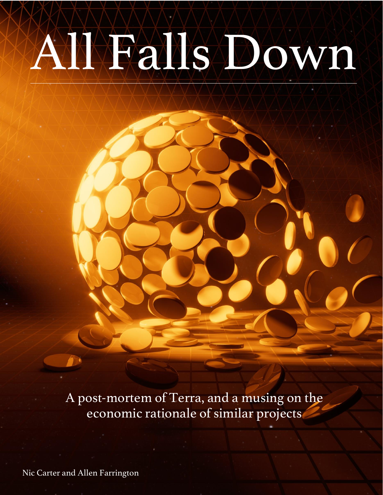# ALL FALLS DOWN

A post-mortem of Terra, and a musing on the economic rationale of similar projects

Nic Carter and Allen Farrington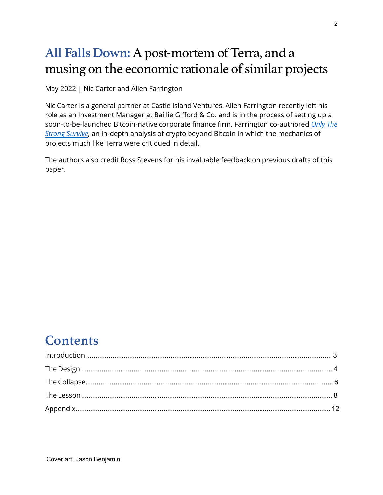## **All Falls Down:** A post-mortem of Terra, and a musing on the economic rationale of similar projects

May 2022 | Nic Carter and Allen Farrington

Nic Carter is a general partner at Castle Island Ventures. Allen Farrington recently left his role as an Investment Manager at Baillie Gifford & Co. and is in the process of setting up a soon-to-be-launched Bitcoin-native corporate finance firm. Farrington co-authored *[Only The](https://www.uncerto.com/only-the-strong-survive) [Strong Survive](https://www.uncerto.com/only-the-strong-survive)*, an in-depth analysis of crypto beyond Bitcoin in which the mechanics of projects much like Terra were critiqued in detail.

The authors also credit Ross Stevens for his invaluable feedback on previous drafts of this paper.

### **Contents**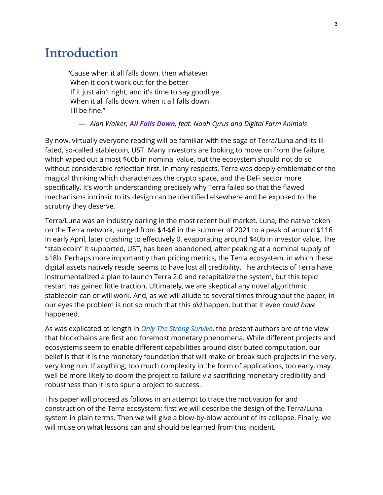#### <span id="page-2-0"></span>**Introduction**

"Cause when it all falls down, then whatever When it don't work out for the better If it just ain't right, and it's time to say goodbye When it all falls down, when it all falls down I'll be fine."

— *Alan Walker, [All Falls Down](https://www.youtube.com/watch?v=6RLLOEzdxsM), feat. Noah Cyrus and Digital Farm Animals*

By now, virtually everyone reading will be familiar with the saga of Terra/Luna and its illfated, so-called stablecoin, UST. Many investors are looking to move on from the failure, which wiped out almost \$60b in nominal value, but the ecosystem should not do so without considerable reflection first. In many respects, Terra was deeply emblematic of the magical thinking which characterizes the crypto space, and the DeFi sector more specifically. It's worth understanding precisely why Terra failed so that the flawed mechanisms intrinsic to its design can be identified elsewhere and be exposed to the scrutiny they deserve.

Terra/Luna was an industry darling in the most recent bull market. Luna, the native token on the Terra network, surged from \$4-\$6 in the summer of 2021 to a peak of around \$116 in early April, later crashing to effectively 0, evaporating around \$40b in investor value. The "stablecoin" it supported, UST, has been abandoned, after peaking at a nominal supply of \$18b. Perhaps more importantly than pricing metrics, the Terra ecosystem, in which these digital assets natively reside, seems to have lost all credibility. The architects of Terra have instrumentalized a plan to launch Terra 2.0 and recapitalize the system, but this tepid restart has gained little traction. Ultimately, we are skeptical any novel algorithmic stablecoin can or will work. And, as we will allude to several times throughout the paper, in our eyes the problem is not so much that this *did* happen, but that it even *could have*  happened.

As was explicated at length in *[Only The Strong Survive](https://www.uncerto.com/only-the-strong-survive)*, the present authors are of the view that blockchains are first and foremost monetary phenomena. While different projects and ecosystems seem to enable different capabilities around distributed computation, our belief is that it is the monetary foundation that will make or break such projects in the very, very long run. If anything, too much complexity in the form of applications, too early, may well be more likely to doom the project to failure via sacrificing monetary credibility and robustness than it is to spur a project to success.

This paper will proceed as follows in an attempt to trace the motivation for and construction of the Terra ecosystem: first we will describe the design of the Terra/Luna system in plain terms. Then we will give a blow-by-blow account of its collapse. Finally, we will muse on what lessons can and should be learned from this incident.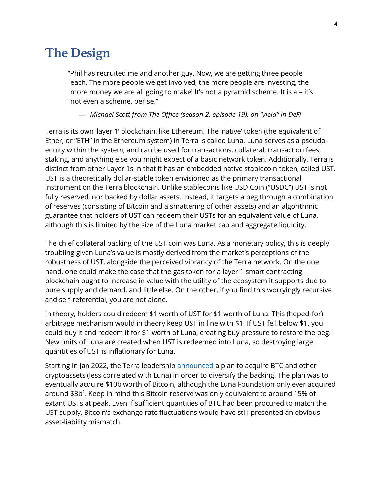#### <span id="page-3-0"></span>**The Design**

"Phil has recruited me and another guy. Now, we are getting three people each. The more people we get involved, the more people are investing, the more money we are all going to make! It's not a pyramid scheme. It is a – it's not even a scheme, per se."

— *Michael Scott from The Office (season 2, episode 19), on "yield" in DeFi* 

Terra is its own 'layer 1' blockchain, like Ethereum. The 'native' token (the equivalent of Ether, or "ETH" in the Ethereum system) in Terra is called Luna. Luna serves as a pseudoequity within the system, and can be used for transactions, collateral, transaction fees, staking, and anything else you might expect of a basic network token. Additionally, Terra is distinct from other Layer 1s in that it has an embedded native stablecoin token, called UST. UST is a theoretically dollar-stable token envisioned as the primary transactional instrument on the Terra blockchain. Unlike stablecoins like USD Coin ("USDC") UST is not fully reserved, nor backed by dollar assets. Instead, it targets a peg through a combination of reserves (consisting of Bitcoin and a smattering of other assets) and an algorithmic guarantee that holders of UST can redeem their USTs for an equivalent value of Luna, although this is limited by the size of the Luna market cap and aggregate liquidity.

The chief collateral backing of the UST coin was Luna. As a monetary policy, this is deeply troubling given Luna's value is mostly derived from the market's perceptions of the robustness of UST, alongside the perceived vibrancy of the Terra network. On the one hand, one could make the case that the gas token for a layer 1 smart contracting blockchain ought to increase in value with the utility of the ecosystem it supports due to pure supply and demand, and little else. On the other, if you find this worryingly recursive and self-referential, you are not alone.

In theory, holders could redeem \$1 worth of UST for \$1 worth of Luna. This (hoped-for) arbitrage mechanism would in theory keep UST in line with \$1. If UST fell below \$1, you could buy it and redeem it for \$1 worth of Luna, creating buy pressure to restore the peg. New units of Luna are created when UST is redeemed into Luna, so destroying large quantities of UST is inflationary for Luna.

Starting in Jan 2022, the Terra leadership [announced](https://archive.ph/X6tJ6) a plan to acquire BTC and other cryptoassets (less correlated with Luna) in order to diversify the backing. The plan was to eventually acquire \$10b worth of Bitcoin, although the Luna Foundation only ever acquired around \$3b<sup>1</sup>. Keep in mind this Bitcoin reserve was only equivalent to around 15% of extant USTs at peak. Even if sufficient quantities of BTC had been procured to match the UST supply, Bitcoin's exchange rate fluctuations would have still presented an obvious asset-liability mismatch.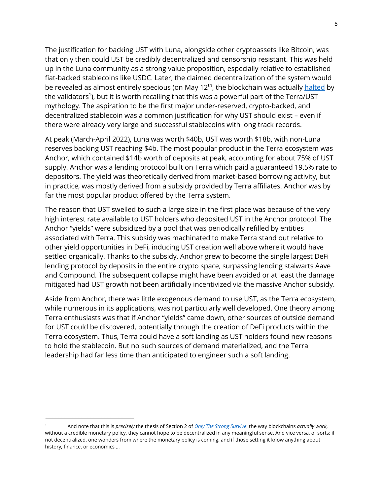The justification for backing UST with Luna, alongside other cryptoassets like Bitcoin, was that only then could UST be credibly decentralized and censorship resistant. This was held up in the Luna community as a strong value proposition, especially relative to established fiat-backed stablecoins like USDC. Later, the claimed decentralization of the system would be revealed as almost entirely specious (on May 12<sup>th</sup>, the blockchain was actually [halted](https://twitter.com/terra_money/status/1524785058296778752) by the validators<sup>1</sup>), but it is worth recalling that this was a powerful part of the Terra/UST mythology. The aspiration to be the first major under-reserved, crypto-backed, and decentralized stablecoin was a common justification for why UST should exist – even if there were already very large and successful stablecoins with long track records.

At peak (March-April 2022), Luna was worth \$40b, UST was worth \$18b, with non-Luna reserves backing UST reaching \$4b. The most popular product in the Terra ecosystem was Anchor, which contained \$14b worth of deposits at peak, accounting for about 75% of UST supply. Anchor was a lending protocol built on Terra which paid a guaranteed 19.5% rate to depositors. The yield was theoretically derived from market-based borrowing activity, but in practice, was mostly derived from a subsidy provided by Terra affiliates. Anchor was by far the most popular product offered by the Terra system.

The reason that UST swelled to such a large size in the first place was because of the very high interest rate available to UST holders who deposited UST in the Anchor protocol. The Anchor "yields" were subsidized by a pool that was periodically refilled by entities associated with Terra. This subsidy was machinated to make Terra stand out relative to other yield opportunities in DeFi, inducing UST creation well above where it would have settled organically. Thanks to the subsidy, Anchor grew to become the single largest DeFi lending protocol by deposits in the entire crypto space, surpassing lending stalwarts Aave and Compound. The subsequent collapse might have been avoided or at least the damage mitigated had UST growth not been artificially incentivized via the massive Anchor subsidy.

Aside from Anchor, there was little exogenous demand to use UST, as the Terra ecosystem, while numerous in its applications, was not particularly well developed. One theory among Terra enthusiasts was that if Anchor "yields" came down, other sources of outside demand for UST could be discovered, potentially through the creation of DeFi products within the Terra ecosystem. Thus, Terra could have a soft landing as UST holders found new reasons to hold the stablecoin. But no such sources of demand materialized, and the Terra leadership had far less time than anticipated to engineer such a soft landing.

<sup>1</sup> And note that this is *precisely* the thesis of Section 2 of *[Only The Strong Survive](https://www.uncerto.com/only-the-strong-survive)*: the way blockchains *actually work*, without a credible monetary policy, they cannot hope to be decentralized in any meaningful sense. And vice versa, of sorts: if not decentralized, one wonders from where the monetary policy is coming, and if those setting it know anything about history, finance, or economics …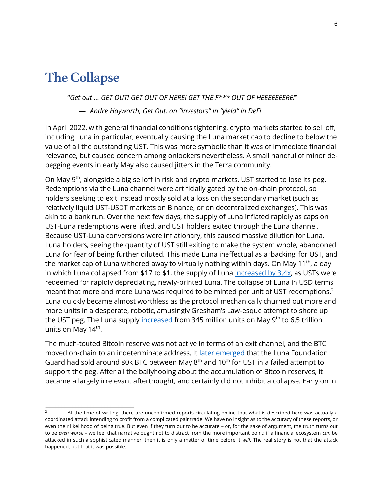### <span id="page-5-0"></span>**The Collapse**

"*Get out … GET OUT! GET OUT OF HERE! GET THE F\*\*\* OUT OF HEEEEEEERE!*"

— *Andre Hayworth, Get Out, on "investors" in "yield" in DeFi*

In April 2022, with general financial conditions tightening, crypto markets started to sell off, including Luna in particular, eventually causing the Luna market cap to decline to below the value of all the outstanding UST. This was more symbolic than it was of immediate financial relevance, but caused concern among onlookers nevertheless. A small handful of minor depegging events in early May also caused jitters in the Terra community.

On May 9<sup>th</sup>, alongside a big selloff in risk and crypto markets, UST started to lose its peg. Redemptions via the Luna channel were artificially gated by the on-chain protocol, so holders seeking to exit instead mostly sold at a loss on the secondary market (such as relatively liquid UST-USDT markets on Binance, or on decentralized exchanges). This was akin to a bank run. Over the next few days, the supply of Luna inflated rapidly as caps on UST-Luna redemptions were lifted, and UST holders exited through the Luna channel. Because UST-Luna conversions were inflationary, this caused massive dilution for Luna. Luna holders, seeing the quantity of UST still exiting to make the system whole, abandoned Luna for fear of being further diluted. This made Luna ineffectual as a 'backing' for UST, and the market cap of Luna withered away to virtually nothing within days. On May 11<sup>th</sup>, a day in which Luna collapsed from \$17 to \$1, the supply of Luna [increased by 3.4x,](https://terra.smartstake.io/UST) as USTs were redeemed for rapidly depreciating, newly-printed Luna. The collapse of Luna in USD terms meant that more and more Luna was required to be minted per unit of UST redemptions.<sup>2</sup> Luna quickly became almost worthless as the protocol mechanically churned out more and more units in a desperate, robotic, amusingly Gresham's Law-esque attempt to shore up the UST peg. The Luna supply [increased](https://messari.io/asset/terra/chart/sply-circ) from 345 million units on May  $9<sup>th</sup>$  to 6.5 trillion units on May 14<sup>th</sup>.

The much-touted Bitcoin reserve was not active in terms of an exit channel, and the BTC moved on-chain to an indeterminate address. It [later emerged](https://twitter.com/LFG_org/status/1526126703046582272) that the Luna Foundation Guard had sold around 80k BTC between May  $8<sup>th</sup>$  and 10<sup>th</sup> for UST in a failed attempt to support the peg. After all the ballyhooing about the accumulation of Bitcoin reserves, it became a largely irrelevant afterthought, and certainly did not inhibit a collapse. Early on in

At the time of writing, there are unconfirmed reports circulating online that what is described here was actually a coordinated attack intending to profit from a complicated pair trade. We have no insight as to the accuracy of these reports, or even their likelihood of being true. But even if they turn out to be accurate – or, for the sake of argument, the truth turns out to be *even worse* – we feel that narrative ought not to distract from the more important point: if a financial ecosystem *can* be attacked in such a sophisticated manner, then it is only a matter of time before it *will*. The real story is not that the attack happened, but that it was possible.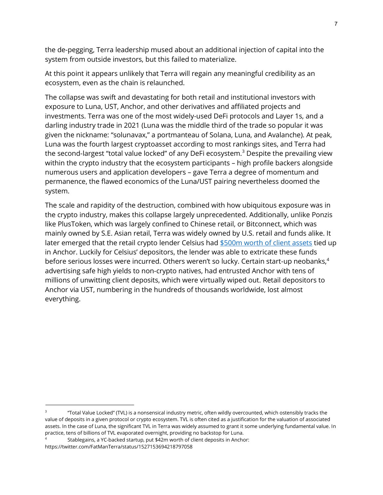the de-pegging, Terra leadership mused about an additional injection of capital into the system from outside investors, but this failed to materialize.

At this point it appears unlikely that Terra will regain any meaningful credibility as an ecosystem, even as the chain is relaunched.

The collapse was swift and devastating for both retail and institutional investors with exposure to Luna, UST, Anchor, and other derivatives and affiliated projects and investments. Terra was one of the most widely-used DeFi protocols and Layer 1s, and a darling industry trade in 2021 (Luna was the middle third of the trade so popular it was given the nickname: "solunavax," a portmanteau of Solana, Luna, and Avalanche). At peak, Luna was the fourth largest cryptoasset according to most rankings sites, and Terra had the second-largest "total value locked" of any DeFi ecosystem.<sup>3</sup> Despite the prevailing view within the crypto industry that the ecosystem participants – high profile backers alongside numerous users and application developers – gave Terra a degree of momentum and permanence, the flawed economics of the Luna/UST pairing nevertheless doomed the system.

The scale and rapidity of the destruction, combined with how ubiquitous exposure was in the crypto industry, makes this collapse largely unprecedented. Additionally, unlike Ponzis like PlusToken, which was largely confined to Chinese retail, or Bitconnect, which was mainly owned by S.E. Asian retail, Terra was widely owned by U.S. retail and funds alike. It later emerged that the retail crypto lender Celsius had [\\$500m worth of client assets](https://www.theblockcrypto.com/post/146752/celsius-pulled-half-a-billion-dollars-out-of-anchor-protocol-amid-terra-chaos) tied up in Anchor. Luckily for Celsius' depositors, the lender was able to extricate these funds before serious losses were incurred. Others weren't so lucky. Certain start-up neobanks,<sup>4</sup> advertising safe high yields to non-crypto natives, had entrusted Anchor with tens of millions of unwitting client deposits, which were virtually wiped out. Retail depositors to Anchor via UST, numbering in the hundreds of thousands worldwide, lost almost everything.

<sup>3</sup> "Total Value Locked" (TVL) is a nonsensical industry metric, often wildly overcounted, which ostensibly tracks the value of deposits in a given protocol or crypto ecosystem. TVL is often cited as a justification for the valuation of associated assets. In the case of Luna, the significant TVL in Terra was widely assumed to grant it some underlying fundamental value. In practice, tens of billions of TVL evaporated overnight, providing no backstop for Luna.

Stablegains, a YC-backed startup, put \$42m worth of client deposits in Anchor: https://twitter.com/FatManTerra/status/1527153694218797058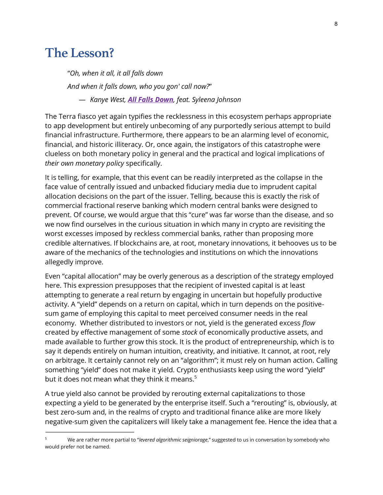#### <span id="page-7-0"></span>**The Lesson?**

"*Oh, when it all, it all falls down And when it falls down, who you gon' call now?*" — *Kanye West, [All Falls Down](https://www.youtube.com/watch?v=8kyWDhB_QeI), feat. Syleena Johnson*

The Terra fiasco yet again typifies the recklessness in this ecosystem perhaps appropriate to app development but entirely unbecoming of any purportedly serious attempt to build financial infrastructure. Furthermore, there appears to be an alarming level of economic, financial, and historic illiteracy. Or, once again, the instigators of this catastrophe were clueless on both monetary policy in general and the practical and logical implications of *their own monetary policy* specifically.

It is telling, for example, that this event can be readily interpreted as the collapse in the face value of centrally issued and unbacked fiduciary media due to imprudent capital allocation decisions on the part of the issuer. Telling, because this is exactly the risk of commercial fractional reserve banking which modern central banks were designed to prevent. Of course, we would argue that this "cure" was far worse than the disease, and so we now find ourselves in the curious situation in which many in crypto are revisiting the worst excesses imposed by reckless commercial banks, rather than proposing more credible alternatives. If blockchains are, at root, monetary innovations, it behooves us to be aware of the mechanics of the technologies and institutions on which the innovations allegedly improve.

Even "capital allocation" may be overly generous as a description of the strategy employed here. This expression presupposes that the recipient of invested capital is at least attempting to generate a real return by engaging in uncertain but hopefully productive activity. A "yield" depends on a return on capital, which in turn depends on the positivesum game of employing this capital to meet perceived consumer needs in the real economy. Whether distributed to investors or not, yield is the generated excess *flow* created by effective management of some *stock* of economically productive assets, and made available to further grow this stock. It is the product of entrepreneurship, which is to say it depends entirely on human intuition, creativity, and initiative. It cannot, at root, rely on arbitrage. It certainly cannot rely on an "algorithm"; it must rely on human action. Calling something "yield" does not make it yield. Crypto enthusiasts keep using the word "yield" but it does not mean what they think it means.<sup>5</sup>

A true yield also cannot be provided by rerouting external capitalizations to those expecting a yield to be generated by the enterprise itself. Such a "rerouting" is, obviously, at best zero-sum and, in the realms of crypto and traditional finance alike are more likely negative-sum given the capitalizers will likely take a management fee. Hence the idea that a

<sup>5</sup> We are rather more partial to "*levered algorithmic seigniorage*," suggested to us in conversation by somebody who would prefer not be named.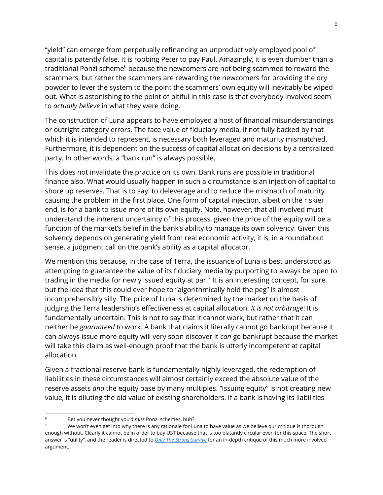"yield" can emerge from perpetually refinancing an unproductively employed pool of capital is patently false. It is robbing Peter to pay Paul. Amazingly, it is even dumber than a traditional Ponzi scheme<sup>6</sup> because the newcomers are not being scammed to reward the scammers, but rather the scammers are rewarding the newcomers for providing the dry powder to lever the system to the point the scammers' own equity will inevitably be wiped out. What is astonishing to the point of pitiful in this case is that everybody involved seem to *actually believe* in what they were doing.

The construction of Luna appears to have employed a host of financial misunderstandings or outright category errors. The face value of fiduciary media, if not fully backed by that which it is intended to represent, is necessary both leveraged and maturity mismatched. Furthermore, it is dependent on the success of capital allocation decisions by a centralized party. In other words, a "bank run" is always possible.

This does not invalidate the practice on its own. Bank runs are possible in traditional finance also. What would usually happen in such a circumstance is an injection of capital to shore up reserves. That is to say: to deleverage and to reduce the mismatch of maturity causing the problem in the first place. One form of capital injection, albeit on the riskier end, is for a bank to issue more of its own equity. Note, however, that all involved must understand the inherent uncertainty of this process, given the price of the equity will be a function of the market's belief in the bank's ability to manage its own solvency. Given this solvency depends on generating yield from real economic activity, it is, in a roundabout sense, a judgment call on the bank's ability as a capital allocator.

We mention this because, in the case of Terra, the issuance of Luna is best understood as attempting to guarantee the value of its fiduciary media by purporting to always be open to trading in the media for newly issued equity at par.<sup>7</sup> It is an interesting concept, for sure, but the idea that this could ever hope to "algorithmically hold the peg" is almost incomprehensibly silly. The price of Luna is determined by the market on the basis of judging the Terra leadership's effectiveness at capital allocation. *It is not arbitrage*! It is fundamentally uncertain. This is not to say that it cannot work, but rather that it can neither be *guaranteed* to work. A bank that claims it literally cannot go bankrupt because it can always issue more equity will very soon discover it *can* go bankrupt because the market will take this claim as well-enough proof that the bank is utterly incompetent at capital allocation.

Given a fractional reserve bank is fundamentally highly leveraged, the redemption of liabilities in these circumstances will almost certainly exceed the absolute value of the reserve assets *and* the equity base by many multiples. "Issuing equity" is not creating new value, it is diluting the old value of existing shareholders. If a bank is having its liabilities

<sup>6</sup> Bet you never thought you'd *miss* Ponzi schemes, huh?

We won't even get into why there is any rationale for Luna to have value as we believe our critique is thorough enough without. Clearly it cannot be in order to buy UST because that is too blatantly circular even for this space. The short answer is "utility", and the reader is directed to *[Only The Strong Survive](https://www.uncerto.com/only-the-strong-survive)* for an in-depth critique of this much more involved argument.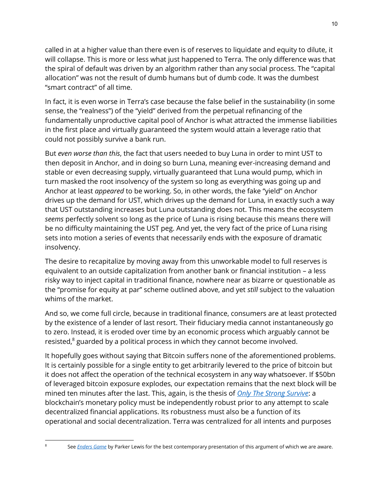called in at a higher value than there even is of reserves to liquidate and equity to dilute, it will collapse. This is more or less what just happened to Terra. The only difference was that the spiral of default was driven by an algorithm rather than any social process. The "capital allocation" was not the result of dumb humans but of dumb code. It was the dumbest "smart contract" of all time.

In fact, it is even worse in Terra's case because the false belief in the sustainability (in some sense, the "realness") of the "yield" derived from the perpetual refinancing of the fundamentally unproductive capital pool of Anchor is what attracted the immense liabilities in the first place and virtually guaranteed the system would attain a leverage ratio that could not possibly survive a bank run.

But *even worse than this*, the fact that users needed to buy Luna in order to mint UST to then deposit in Anchor, and in doing so burn Luna, meaning ever-increasing demand and stable or even decreasing supply, virtually guaranteed that Luna would pump, which in turn masked the root insolvency of the system so long as everything was going up and Anchor at least *appeared* to be working. So, in other words, the fake "yield" on Anchor drives up the demand for UST, which drives up the demand for Luna, in exactly such a way that UST outstanding increases but Luna outstanding does not. This means the ecosystem *seems* perfectly solvent so long as the price of Luna is rising because this means there will be no difficulty maintaining the UST peg. And yet, the very fact of the price of Luna rising sets into motion a series of events that necessarily ends with the exposure of dramatic insolvency.

The desire to recapitalize by moving away from this unworkable model to full reserves is equivalent to an outside capitalization from another bank or financial institution – a less risky way to inject capital in traditional finance, nowhere near as bizarre or questionable as the "promise for equity at par" scheme outlined above, and yet *still* subject to the valuation whims of the market.

And so, we come full circle, because in traditional finance, consumers are at least protected by the existence of a lender of last resort. Their fiduciary media cannot instantaneously go to zero. Instead, it is eroded over time by an economic process which arguably cannot be resisted, $8$  guarded by a political process in which they cannot become involved.

It hopefully goes without saying that Bitcoin suffers none of the aforementioned problems. It is certainly possible for a single entity to get arbitrarily levered to the price of bitcoin but it does not affect the operation of the technical ecosystem in any way whatsoever. If \$50bn of leveraged bitcoin exposure explodes, our expectation remains that the next block will be mined ten minutes after the last. This, again, is the thesis of *[Only The Strong Survive](https://www.uncerto.com/only-the-strong-survive)*: a blockchain's monetary policy must be independently robust prior to any attempt to scale decentralized financial applications. Its robustness must also be a function of its operational and social decentralization. Terra was centralized for all intents and purposes

See *[Enders Game](https://unchained.com/blog/enders-game/)* by Parker Lewis for the best contemporary presentation of this argument of which we are aware.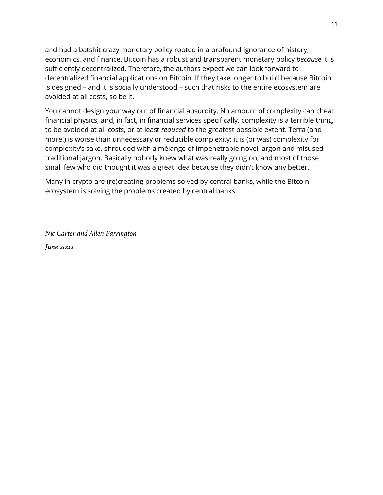and had a batshit crazy monetary policy rooted in a profound ignorance of history, economics, and finance. Bitcoin has a robust and transparent monetary policy *because* it is sufficiently decentralized. Therefore, the authors expect we can look forward to decentralized financial applications on Bitcoin. If they take longer to build because Bitcoin is designed – and it is socially understood – such that risks to the entire ecosystem are avoided at all costs, so be it.

You cannot design your way out of financial absurdity. No amount of complexity can cheat financial physics, and, in fact, in financial services specifically, complexity is a terrible thing, to be avoided at all costs, or at least *reduced* to the greatest possible extent. Terra (and more!) is worse than unnecessary or reducible complexity: it is (or was) complexity for complexity's sake, shrouded with a mélange of impenetrable novel jargon and misused traditional jargon. Basically nobody knew what was really going on, and most of those small few who did thought it was a great idea because they didn't know any better.

Many in crypto are (re)creating problems solved by central banks, while the Bitcoin ecosystem is solving the problems created by central banks.

*Nic Carter and Allen Farrington*

*June 2022*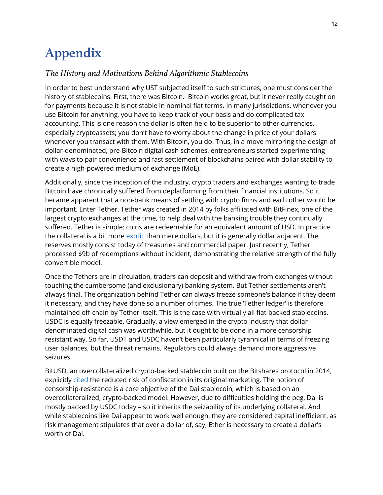# <span id="page-11-0"></span>**Appendix**

#### *The History and Motivations Behind Algorithmic Stablecoins*

In order to best understand why UST subjected itself to such strictures, one must consider the history of stablecoins. First, there was Bitcoin. Bitcoin works great, but it never really caught on for payments because it is not stable in nominal fiat terms. In many jurisdictions, whenever you use Bitcoin for anything, you have to keep track of your basis and do complicated tax accounting. This is one reason the dollar is often held to be superior to other currencies, especially cryptoassets; you don't have to worry about the change in price of your dollars whenever you transact with them. With Bitcoin, you do. Thus, in a move mirroring the design of dollar-denominated, pre-Bitcoin digital cash schemes, entrepreneurs started experimenting with ways to pair convenience and fast settlement of blockchains paired with dollar stability to create a high-powered medium of exchange (MoE).

Additionally, since the inception of the industry, crypto traders and exchanges wanting to trade Bitcoin have chronically suffered from deplatforming from their financial institutions. So it became apparent that a non-bank means of settling with crypto firms and each other would be important. Enter Tether. Tether was created in 2014 by folks affiliated with BitFinex, one of the largest crypto exchanges at the time, to help deal with the banking trouble they continually suffered. Tether is simple: coins are redeemable for an equivalent amount of USD. In practice the collateral is a bit more [exotic](https://tether.to/en/transparency/#reports) than mere dollars, but it is generally dollar adjacent. The reserves mostly consist today of treasuries and commercial paper. Just recently, Tether processed \$9b of redemptions without incident, demonstrating the relative strength of the fully convertible model.

Once the Tethers are in circulation, traders can deposit and withdraw from exchanges without touching the cumbersome (and exclusionary) banking system. But Tether settlements aren't always final. The organization behind Tether can always freeze someone's balance if they deem it necessary, and they have done so a number of times. The true 'Tether ledger' is therefore maintained off-chain by Tether itself. This is the case with virtually all fiat-backed stablecoins. USDC is equally freezable. Gradually, a view emerged in the crypto industry that dollardenominated digital cash was worthwhile, but it ought to be done in a more censorship resistant way. So far, USDT and USDC haven't been particularly tyrannical in terms of freezing user balances, but the threat remains. Regulators could always demand more aggressive seizures.

BitUSD, an overcollateralized crypto-backed stablecoin built on the Bitshares protocol in 2014, explicitly [cited](https://blog.bitmex.com/wp-content/uploads/2018/06/173481633-BitShares-White-Paper.pdf) the reduced risk of confiscation in its original marketing. The notion of censorship-resistance is a core objective of the Dai stablecoin, which is based on an overcollateralized, crypto-backed model. However, due to difficulties holding the peg, Dai is mostly backed by USDC today – so it inherits the seizability of its underlying collateral. And while stablecoins like Dai appear to work well enough, they are considered capital inefficient, as risk management stipulates that over a dollar of, say, Ether is necessary to create a dollar's worth of Dai.